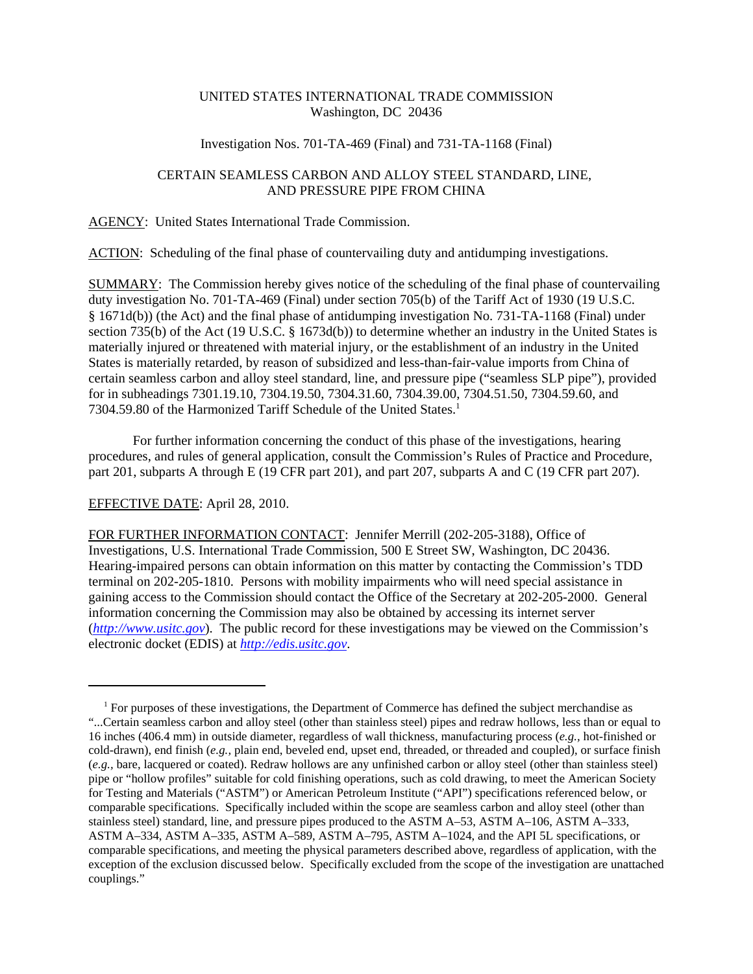# UNITED STATES INTERNATIONAL TRADE COMMISSION Washington, DC 20436

#### Investigation Nos. 701-TA-469 (Final) and 731-TA-1168 (Final)

## CERTAIN SEAMLESS CARBON AND ALLOY STEEL STANDARD, LINE, AND PRESSURE PIPE FROM CHINA

AGENCY: United States International Trade Commission.

ACTION: Scheduling of the final phase of countervailing duty and antidumping investigations.

SUMMARY: The Commission hereby gives notice of the scheduling of the final phase of countervailing duty investigation No. 701-TA-469 (Final) under section 705(b) of the Tariff Act of 1930 (19 U.S.C. § 1671d(b)) (the Act) and the final phase of antidumping investigation No. 731-TA-1168 (Final) under section 735(b) of the Act (19 U.S.C. § 1673d(b)) to determine whether an industry in the United States is materially injured or threatened with material injury, or the establishment of an industry in the United States is materially retarded, by reason of subsidized and less-than-fair-value imports from China of certain seamless carbon and alloy steel standard, line, and pressure pipe ("seamless SLP pipe"), provided for in subheadings 7301.19.10, 7304.19.50, 7304.31.60, 7304.39.00, 7304.51.50, 7304.59.60, and 7304.59.80 of the Harmonized Tariff Schedule of the United States.<sup>1</sup>

For further information concerning the conduct of this phase of the investigations, hearing procedures, and rules of general application, consult the Commission's Rules of Practice and Procedure, part 201, subparts A through E (19 CFR part 201), and part 207, subparts A and C (19 CFR part 207).

### EFFECTIVE DATE: April 28, 2010.

FOR FURTHER INFORMATION CONTACT: Jennifer Merrill (202-205-3188), Office of Investigations, U.S. International Trade Commission, 500 E Street SW, Washington, DC 20436. Hearing-impaired persons can obtain information on this matter by contacting the Commission's TDD terminal on 202-205-1810. Persons with mobility impairments who will need special assistance in gaining access to the Commission should contact the Office of the Secretary at 202-205-2000. General information concerning the Commission may also be obtained by accessing its internet server (*http://www.usitc.gov*). The public record for these investigations may be viewed on the Commission's electronic docket (EDIS) at *http://edis.usitc.gov*.

<sup>&</sup>lt;sup>1</sup> For purposes of these investigations, the Department of Commerce has defined the subject merchandise as "...Certain seamless carbon and alloy steel (other than stainless steel) pipes and redraw hollows, less than or equal to 16 inches (406.4 mm) in outside diameter, regardless of wall thickness, manufacturing process (*e.g.,* hot-finished or cold-drawn), end finish (*e.g.,* plain end, beveled end, upset end, threaded, or threaded and coupled), or surface finish (*e.g.,* bare, lacquered or coated). Redraw hollows are any unfinished carbon or alloy steel (other than stainless steel) pipe or "hollow profiles" suitable for cold finishing operations, such as cold drawing, to meet the American Society for Testing and Materials ("ASTM") or American Petroleum Institute ("API") specifications referenced below, or comparable specifications. Specifically included within the scope are seamless carbon and alloy steel (other than stainless steel) standard, line, and pressure pipes produced to the ASTM A–53, ASTM A–106, ASTM A–333, ASTM A–334, ASTM A–335, ASTM A–589, ASTM A–795, ASTM A–1024, and the API 5L specifications, or comparable specifications, and meeting the physical parameters described above, regardless of application, with the exception of the exclusion discussed below. Specifically excluded from the scope of the investigation are unattached couplings."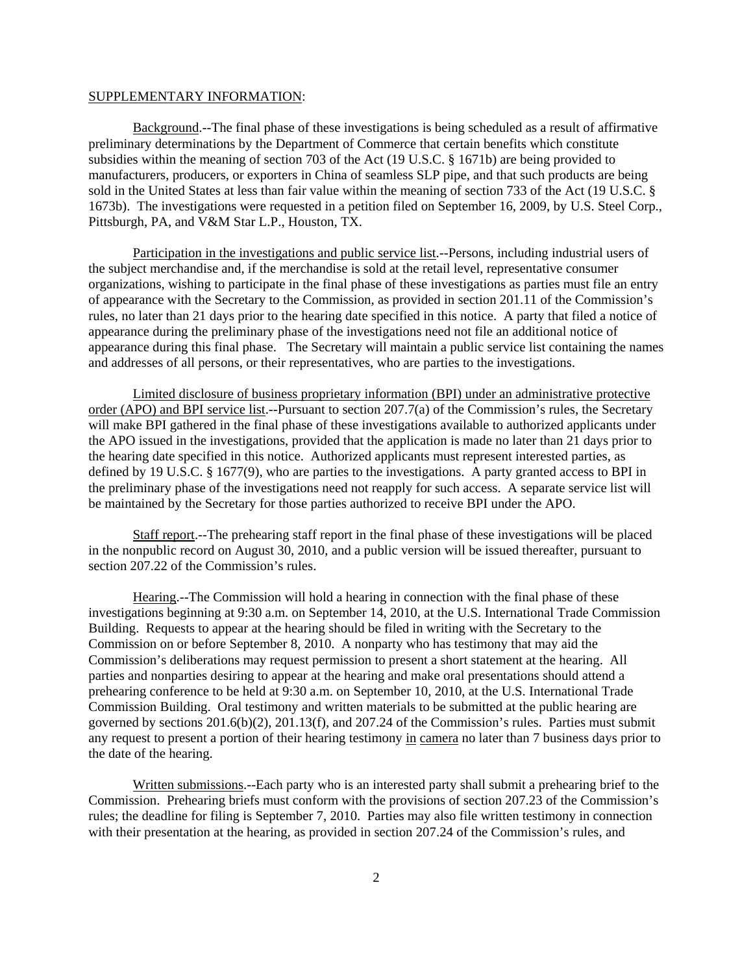#### SUPPLEMENTARY INFORMATION:

Background.--The final phase of these investigations is being scheduled as a result of affirmative preliminary determinations by the Department of Commerce that certain benefits which constitute subsidies within the meaning of section 703 of the Act (19 U.S.C. § 1671b) are being provided to manufacturers, producers, or exporters in China of seamless SLP pipe, and that such products are being sold in the United States at less than fair value within the meaning of section 733 of the Act (19 U.S.C. § 1673b). The investigations were requested in a petition filed on September 16, 2009, by U.S. Steel Corp., Pittsburgh, PA, and V&M Star L.P., Houston, TX.

Participation in the investigations and public service list.--Persons, including industrial users of the subject merchandise and, if the merchandise is sold at the retail level, representative consumer organizations, wishing to participate in the final phase of these investigations as parties must file an entry of appearance with the Secretary to the Commission, as provided in section 201.11 of the Commission's rules, no later than 21 days prior to the hearing date specified in this notice. A party that filed a notice of appearance during the preliminary phase of the investigations need not file an additional notice of appearance during this final phase. The Secretary will maintain a public service list containing the names and addresses of all persons, or their representatives, who are parties to the investigations.

Limited disclosure of business proprietary information (BPI) under an administrative protective order (APO) and BPI service list.--Pursuant to section 207.7(a) of the Commission's rules, the Secretary will make BPI gathered in the final phase of these investigations available to authorized applicants under the APO issued in the investigations, provided that the application is made no later than 21 days prior to the hearing date specified in this notice. Authorized applicants must represent interested parties, as defined by 19 U.S.C. § 1677(9), who are parties to the investigations. A party granted access to BPI in the preliminary phase of the investigations need not reapply for such access. A separate service list will be maintained by the Secretary for those parties authorized to receive BPI under the APO.

Staff report.--The prehearing staff report in the final phase of these investigations will be placed in the nonpublic record on August 30, 2010, and a public version will be issued thereafter, pursuant to section 207.22 of the Commission's rules.

Hearing.--The Commission will hold a hearing in connection with the final phase of these investigations beginning at 9:30 a.m. on September 14, 2010, at the U.S. International Trade Commission Building. Requests to appear at the hearing should be filed in writing with the Secretary to the Commission on or before September 8, 2010. A nonparty who has testimony that may aid the Commission's deliberations may request permission to present a short statement at the hearing. All parties and nonparties desiring to appear at the hearing and make oral presentations should attend a prehearing conference to be held at 9:30 a.m. on September 10, 2010, at the U.S. International Trade Commission Building. Oral testimony and written materials to be submitted at the public hearing are governed by sections 201.6(b)(2), 201.13(f), and 207.24 of the Commission's rules. Parties must submit any request to present a portion of their hearing testimony in camera no later than 7 business days prior to the date of the hearing.

Written submissions.--Each party who is an interested party shall submit a prehearing brief to the Commission. Prehearing briefs must conform with the provisions of section 207.23 of the Commission's rules; the deadline for filing is September 7, 2010. Parties may also file written testimony in connection with their presentation at the hearing, as provided in section 207.24 of the Commission's rules, and